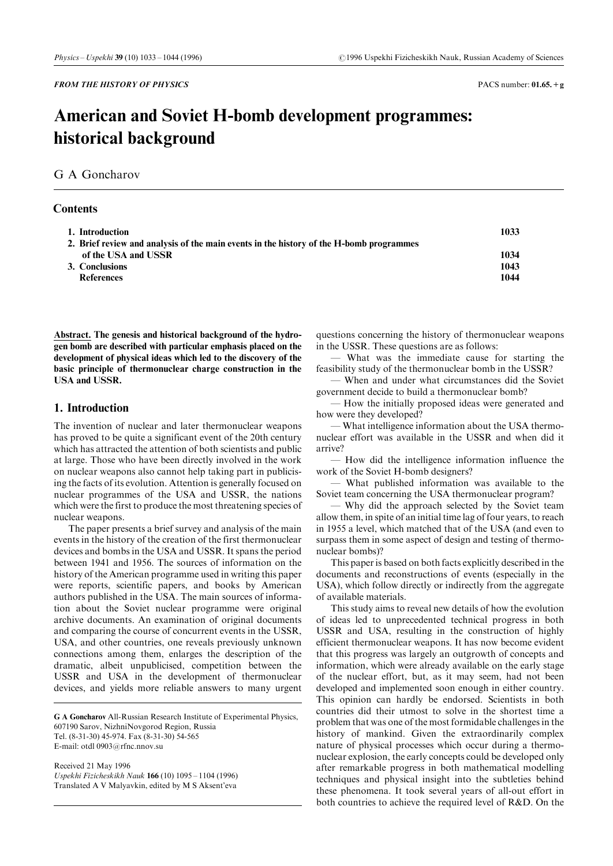# American and Soviet H-bomb development programmes: historical background

## G A Goncharov

| <b>Contents</b>                                                                         |      |
|-----------------------------------------------------------------------------------------|------|
| 1. Introduction                                                                         | 1033 |
| 2. Brief review and analysis of the main events in the history of the H-bomb programmes |      |
| of the USA and USSR                                                                     | 1034 |
| 3. Conclusions                                                                          | 1043 |
| <b>References</b>                                                                       | 1044 |

Abstract. The genesis and historical background of the hydrogen bomb are described with particular emphasis placed on the development of physical ideas which led to the discovery of the basic principle of thermonuclear charge construction in the USA and USSR.

## 1. Introduction

The invention of nuclear and later thermonuclear weapons has proved to be quite a significant event of the 20th century which has attracted the attention of both scientists and public at large. Those who have been directly involved in the work on nuclear weapons also cannot help taking part in publicising the facts of its evolution. Attention is generally focused on nuclear programmes of the USA and USSR, the nations which were the first to produce the most threatening species of nuclear weapons.

The paper presents a brief survey and analysis of the main events in the history of the creation of the first thermonuclear devices and bombs in the USA and USSR. It spans the period between 1941 and 1956. The sources of information on the history of the American programme used in writing this paper were reports, scientific papers, and books by American authors published in the USA. The main sources of information about the Soviet nuclear programme were original archive documents. An examination of original documents and comparing the course of concurrent events in the USSR, USA, and other countries, one reveals previously unknown connections among them, enlarges the description of the dramatic, albeit unpublicised, competition between the USSR and USA in the development of thermonuclear devices, and yields more reliable answers to many urgent

G A Goncharov All-Russian Research Institute of Experimental Physics, 607190 Sarov, NizhniNovgorod Region, Russia Tel. (8-31-30) 45-974. Fax (8-31-30) 54-565 E-mail: otdl 0903@rfnc.nnov.su

Received 21 May 1996 Uspekhi Fizicheskikh Nauk  $166(10) 1095 - 1104(1996)$ Translated A V Malyavkin, edited by M S Aksent'eva

questions concerning the history of thermonuclear weapons in the USSR. These questions are as follows:

What was the immediate cause for starting the feasibility study of the thermonuclear bomb in the USSR?

Ð When and under what circumstances did the Soviet government decide to build a thermonuclear bomb?

Ð How the initially proposed ideas were generated and how were they developed?

Ð What intelligence information about the USA thermonuclear effort was available in the USSR and when did it arrive?

Ð How did the intelligence information influence the work of the Soviet H-bomb designers?

Ð What published information was available to the Soviet team concerning the USA thermonuclear program?

Ð Why did the approach selected by the Soviet team allow them, in spite of an initial time lag of four years, to reach in 1955 a level, which matched that of the USA (and even to surpass them in some aspect of design and testing of thermonuclear bombs)?

This paper is based on both facts explicitly described in the documents and reconstructions of events (especially in the USA), which follow directly or indirectly from the aggregate of available materials.

This study aims to reveal new details of how the evolution of ideas led to unprecedented technical progress in both USSR and USA, resulting in the construction of highly efficient thermonuclear weapons. It has now become evident that this progress was largely an outgrowth of concepts and information, which were already available on the early stage of the nuclear effort, but, as it may seem, had not been developed and implemented soon enough in either country. This opinion can hardly be endorsed. Scientists in both countries did their utmost to solve in the shortest time a problem that was one of the most formidable challenges in the history of mankind. Given the extraordinarily complex nature of physical processes which occur during a thermonuclear explosion, the early concepts could be developed only after remarkable progress in both mathematical modelling techniques and physical insight into the subtleties behind these phenomena. It took several years of all-out effort in both countries to achieve the required level of R&D. On the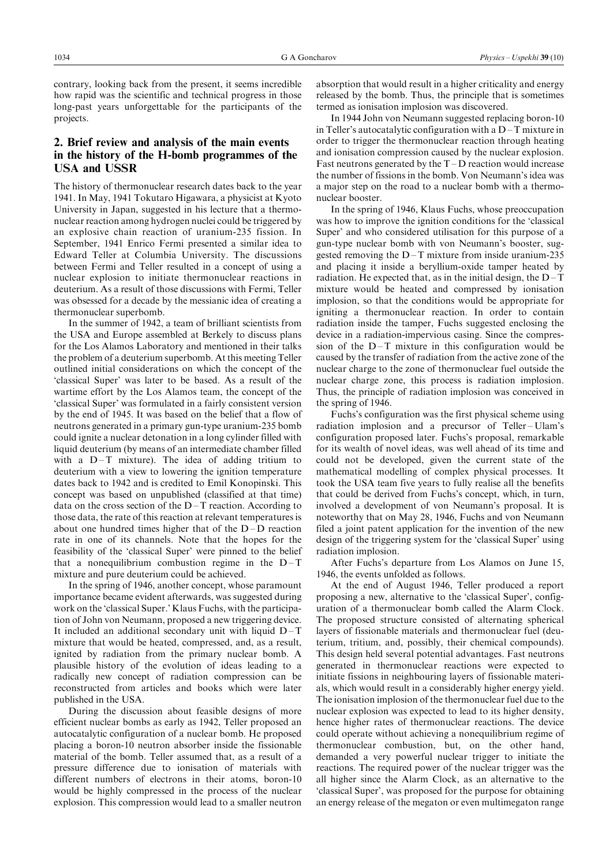contrary, looking back from the present, it seems incredible how rapid was the scientific and technical progress in those long-past years unforgettable for the participants of the projects.

## 2. Brief review and analysis of the main events in the history of the H-bomb programmes of the USA and USSR

The history of thermonuclear research dates back to the year 1941. In May, 1941 Tokutaro Higawara, a physicist at Kyoto University in Japan, suggested in his lecture that a thermonuclear reaction among hydrogen nuclei could be triggered by an explosive chain reaction of uranium-235 fission. In September, 1941 Enrico Fermi presented a similar idea to Edward Teller at Columbia University. The discussions between Fermi and Teller resulted in a concept of using a nuclear explosion to initiate thermonuclear reactions in deuterium. As a result of those discussions with Fermi, Teller was obsessed for a decade by the messianic idea of creating a thermonuclear superbomb.

In the summer of 1942, a team of brilliant scientists from the USA and Europe assembled at Berkely to discuss plans for the Los Alamos Laboratory and mentioned in their talks the problem of a deuterium superbomb. At this meeting Teller outlined initial considerations on which the concept of the `classical Super' was later to be based. As a result of the wartime effort by the Los Alamos team, the concept of the `classical Super' was formulated in a fairly consistent version by the end of 1945. It was based on the belief that a flow of neutrons generated in a primary gun-type uranium-235 bomb could ignite a nuclear detonation in a long cylinder filled with liquid deuterium (by means of an intermediate chamber filled with a  $D-T$  mixture). The idea of adding tritium to deuterium with a view to lowering the ignition temperature dates back to 1942 and is credited to Emil Konopinski. This concept was based on unpublished (classified at that time) data on the cross section of the  $D-T$  reaction. According to those data, the rate of this reaction at relevant temperatures is about one hundred times higher that of the  $D-D$  reaction rate in one of its channels. Note that the hopes for the feasibility of the `classical Super' were pinned to the belief that a nonequilibrium combustion regime in the  $D-T$ mixture and pure deuterium could be achieved.

In the spring of 1946, another concept, whose paramount importance became evident afterwards, was suggested during work on the 'classical Super.' Klaus Fuchs, with the participation of John von Neumann, proposed a new triggering device. It included an additional secondary unit with liquid  $D-T$ mixture that would be heated, compressed, and, as a result, ignited by radiation from the primary nuclear bomb. A plausible history of the evolution of ideas leading to a radically new concept of radiation compression can be reconstructed from articles and books which were later published in the USA.

During the discussion about feasible designs of more efficient nuclear bombs as early as 1942, Teller proposed an autocatalytic configuration of a nuclear bomb. He proposed placing a boron-10 neutron absorber inside the fissionable material of the bomb. Teller assumed that, as a result of a pressure difference due to ionisation of materials with different numbers of electrons in their atoms, boron-10 would be highly compressed in the process of the nuclear explosion. This compression would lead to a smaller neutron absorption that would result in a higher criticality and energy released by the bomb. Thus, the principle that is sometimes termed as ionisation implosion was discovered.

In 1944 John von Neumann suggested replacing boron-10 in Teller's autocatalytic configuration with a  $D-T$  mixture in order to trigger the thermonuclear reaction through heating and ionisation compression caused by the nuclear explosion. Fast neutrons generated by the  $T - D$  reaction would increase the number of fissions in the bomb. Von Neumann's idea was a major step on the road to a nuclear bomb with a thermonuclear booster.

In the spring of 1946, Klaus Fuchs, whose preoccupation was how to improve the ignition conditions for the 'classical Super' and who considered utilisation for this purpose of a gun-type nuclear bomb with von Neumann's booster, suggested removing the  $D-T$  mixture from inside uranium-235 and placing it inside a beryllium-oxide tamper heated by radiation. He expected that, as in the initial design, the  $D-T$ mixture would be heated and compressed by ionisation implosion, so that the conditions would be appropriate for igniting a thermonuclear reaction. In order to contain radiation inside the tamper, Fuchs suggested enclosing the device in a radiation-impervious casing. Since the compression of the  $D-T$  mixture in this configuration would be caused by the transfer of radiation from the active zone of the nuclear charge to the zone of thermonuclear fuel outside the nuclear charge zone, this process is radiation implosion. Thus, the principle of radiation implosion was conceived in the spring of 1946.

Fuchs's configuration was the first physical scheme using radiation implosion and a precursor of Teller-Ulam's configuration proposed later. Fuchs's proposal, remarkable for its wealth of novel ideas, was well ahead of its time and could not be developed, given the current state of the mathematical modelling of complex physical processes. It took the USA team five years to fully realise all the benefits that could be derived from Fuchs's concept, which, in turn, involved a development of von Neumann's proposal. It is noteworthy that on May 28, 1946, Fuchs and von Neumann filed a joint patent application for the invention of the new design of the triggering system for the `classical Super' using radiation implosion.

After Fuchs's departure from Los Alamos on June 15, 1946, the events unfolded as follows.

At the end of August 1946, Teller produced a report proposing a new, alternative to the `classical Super', configuration of a thermonuclear bomb called the Alarm Clock. The proposed structure consisted of alternating spherical layers of fissionable materials and thermonuclear fuel (deuterium, tritium, and, possibly, their chemical compounds). This design held several potential advantages. Fast neutrons generated in thermonuclear reactions were expected to initiate fissions in neighbouring layers of fissionable materials, which would result in a considerably higher energy yield. The ionisation implosion of the thermonuclear fuel due to the nuclear explosion was expected to lead to its higher density, hence higher rates of thermonuclear reactions. The device could operate without achieving a nonequilibrium regime of thermonuclear combustion, but, on the other hand, demanded a very powerful nuclear trigger to initiate the reactions. The required power of the nuclear trigger was the all higher since the Alarm Clock, as an alternative to the `classical Super', was proposed for the purpose for obtaining an energy release of the megaton or even multimegaton range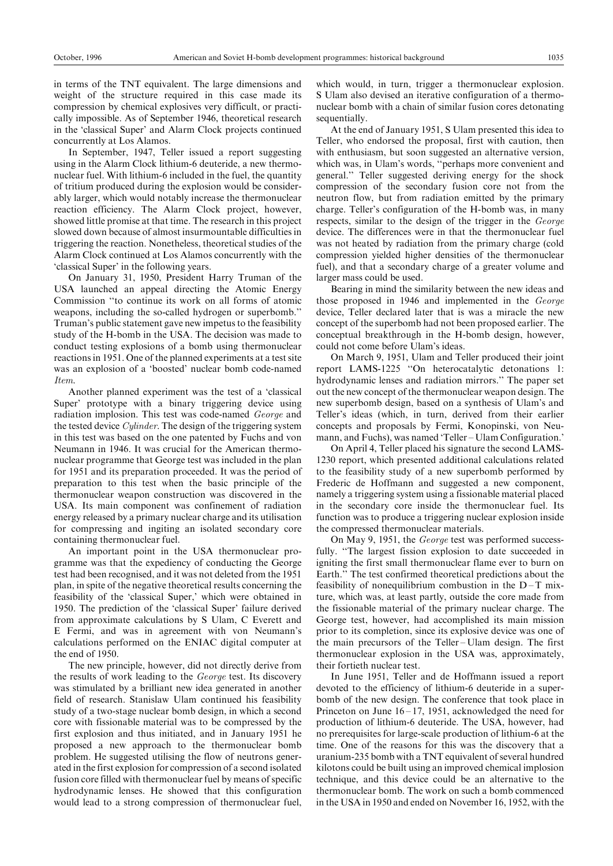in terms of the TNT equivalent. The large dimensions and weight of the structure required in this case made its compression by chemical explosives very difficult, or practically impossible. As of September 1946, theoretical research in the `classical Super' and Alarm Clock projects continued concurrently at Los Alamos.

In September, 1947, Teller issued a report suggesting using in the Alarm Clock lithium-6 deuteride, a new thermonuclear fuel. With lithium-6 included in the fuel, the quantity of tritium produced during the explosion would be considerably larger, which would notably increase the thermonuclear reaction efficiency. The Alarm Clock project, however, showed little promise at that time. The research in this project slowed down because of almost insurmountable difficulties in triggering the reaction. Nonetheless, theoretical studies of the Alarm Clock continued at Los Alamos concurrently with the `classical Super' in the following years.

On January 31, 1950, President Harry Truman of the USA launched an appeal directing the Atomic Energy Commission "to continue its work on all forms of atomic weapons, including the so-called hydrogen or superbomb.'' Truman's public statement gave new impetus to the feasibility study of the H-bomb in the USA. The decision was made to conduct testing explosions of a bomb using thermonuclear reactions in 1951. One of the planned experiments at a test site was an explosion of a 'boosted' nuclear bomb code-named Item.

Another planned experiment was the test of a `classical Super' prototype with a binary triggering device using radiation implosion. This test was code-named George and the tested device *Cylinder*. The design of the triggering system in this test was based on the one patented by Fuchs and von Neumann in 1946. It was crucial for the American thermonuclear programme that George test was included in the plan for 1951 and its preparation proceeded. It was the period of preparation to this test when the basic principle of the thermonuclear weapon construction was discovered in the USA. Its main component was confinement of radiation energy released by a primary nuclear charge and its utilisation for compressing and ingiting an isolated secondary core containing thermonuclear fuel.

An important point in the USA thermonuclear programme was that the expediency of conducting the George test had been recognised, and it was not deleted from the 1951 plan, in spite of the negative theoretical results concerning the feasibility of the `classical Super,' which were obtained in 1950. The prediction of the `classical Super' failure derived from approximate calculations by S Ulam, C Everett and E Fermi, and was in agreement with von Neumann's calculations performed on the ENIAC digital computer at the end of 1950.

The new principle, however, did not directly derive from the results of work leading to the George test. Its discovery was stimulated by a brilliant new idea generated in another field of research. Stanislaw Ulam continued his feasibility study of a two-stage nuclear bomb design, in which a second core with fissionable material was to be compressed by the first explosion and thus initiated, and in January 1951 he proposed a new approach to the thermonuclear bomb problem. He suggested utilising the flow of neutrons generated in the first explosion for compression of a second isolated fusion core filled with thermonuclear fuel by means of specific hydrodynamic lenses. He showed that this configuration would lead to a strong compression of thermonuclear fuel,

which would, in turn, trigger a thermonuclear explosion. S Ulam also devised an iterative configuration of a thermonuclear bomb with a chain of similar fusion cores detonating sequentially.

At the end of January 1951, S Ulam presented this idea to Teller, who endorsed the proposal, first with caution, then with enthusiasm, but soon suggested an alternative version, which was, in Ulam's words, "perhaps more convenient and general.'' Teller suggested deriving energy for the shock compression of the secondary fusion core not from the neutron flow, but from radiation emitted by the primary charge. Teller's configuration of the H-bomb was, in many respects, similar to the design of the trigger in the George device. The differences were in that the thermonuclear fuel was not heated by radiation from the primary charge (cold compression yielded higher densities of the thermonuclear fuel), and that a secondary charge of a greater volume and larger mass could be used.

Bearing in mind the similarity between the new ideas and those proposed in 1946 and implemented in the George device, Teller declared later that is was a miracle the new concept of the superbomb had not been proposed earlier. The conceptual breakthrough in the H-bomb design, however, could not come before Ulam's ideas.

On March 9, 1951, Ulam and Teller produced their joint report LAMS-1225 "On heterocatalytic detonations 1: hydrodynamic lenses and radiation mirrors.'' The paper set out the new concept of the thermonuclear weapon design. The new superbomb design, based on a synthesis of Ulam's and Teller's ideas (which, in turn, derived from their earlier concepts and proposals by Fermi, Konopinski, von Neumann, and Fuchs), was named 'Teller – Ulam Configuration.'

On April 4, Teller placed his signature the second LAMS-1230 report, which presented additional calculations related to the feasibility study of a new superbomb performed by Frederic de Hoffmann and suggested a new component, namely a triggering system using a fissionable material placed in the secondary core inside the thermonuclear fuel. Its function was to produce a triggering nuclear explosion inside the compressed thermonuclear materials.

On May 9, 1951, the George test was performed successfully. "The largest fission explosion to date succeeded in igniting the first small thermonuclear flame ever to burn on Earth.'' The test confirmed theoretical predictions about the feasibility of nonequilibrium combustion in the  $D-T$  mixture, which was, at least partly, outside the core made from the fissionable material of the primary nuclear charge. The George test, however, had accomplished its main mission prior to its completion, since its explosive device was one of the main precursors of the Teller-Ulam design. The first thermonuclear explosion in the USA was, approximately, their fortieth nuclear test.

In June 1951, Teller and de Hoffmann issued a report devoted to the efficiency of lithium-6 deuteride in a superbomb of the new design. The conference that took place in Princeton on June  $16 - 17$ , 1951, acknowledged the need for production of lithium-6 deuteride. The USA, however, had no prerequisites for large-scale production of lithium-6 at the time. One of the reasons for this was the discovery that a uranium-235 bomb with a TNT equivalent of several hundred kilotons could be built using an improved chemical implosion technique, and this device could be an alternative to the thermonuclear bomb. The work on such a bomb commenced in the USA in 1950 and ended on November 16, 1952, with the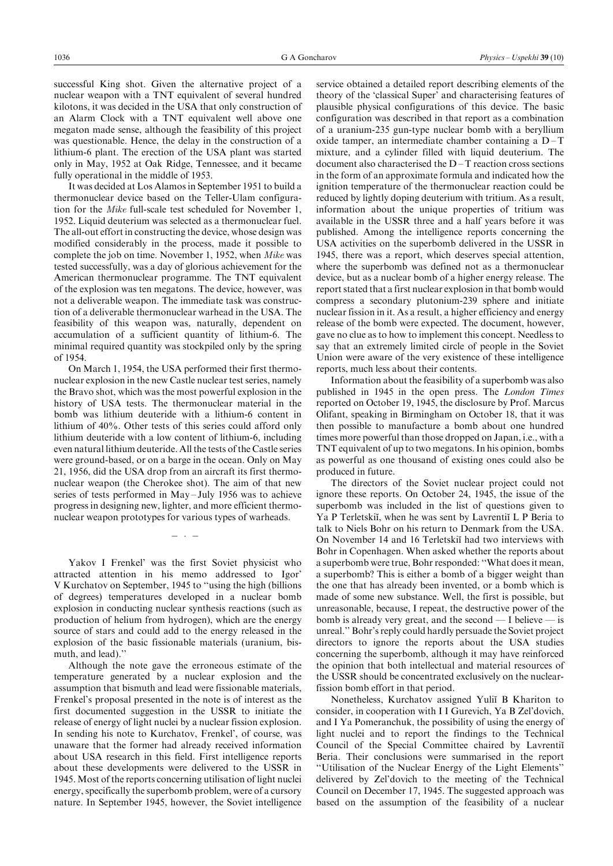successful King shot. Given the alternative project of a nuclear weapon with a TNT equivalent of several hundred kilotons, it was decided in the USA that only construction of an Alarm Clock with a TNT equivalent well above one megaton made sense, although the feasibility of this project was questionable. Hence, the delay in the construction of a lithium-6 plant. The erection of the USA plant was started only in May, 1952 at Oak Ridge, Tennessee, and it became fully operational in the middle of 1953.

It was decided at Los Alamos in September 1951 to build a thermonuclear device based on the Teller-Ulam configuration for the Mike full-scale test scheduled for November 1, 1952. Liquid deuterium was selected as a thermonuclear fuel. The all-out effort in constructing the device, whose design was modified considerably in the process, made it possible to complete the job on time. November 1, 1952, when Mike was tested successfully, was a day of glorious achievement for the American thermonuclear programme. The TNT equivalent of the explosion was ten megatons. The device, however, was not a deliverable weapon. The immediate task was construction of a deliverable thermonuclear warhead in the USA. The feasibility of this weapon was, naturally, dependent on accumulation of a sufficient quantity of lithium-6. The minimal required quantity was stockpiled only by the spring of 1954.

On March 1, 1954, the USA performed their first thermonuclear explosion in the new Castle nuclear test series, namely the Bravo shot, which was the most powerful explosion in the history of USA tests. The thermonuclear material in the bomb was lithium deuteride with a lithium-6 content in lithium of 40%. Other tests of this series could afford only lithium deuteride with a low content of lithium-6, including even natural lithium deuteride. All the tests of the Castle series were ground-based, or on a barge in the ocean. Only on May 21, 1956, did the USA drop from an aircraft its first thermonuclear weapon (the Cherokee shot). The aim of that new series of tests performed in May  $-July$  1956 was to achieve progress in designing new, lighter, and more efficient thermonuclear weapon prototypes for various types of warheads.

Yakov I Frenkel' was the first Soviet physicist who attracted attention in his memo addressed to Igor' V Kurchatov on September, 1945 to "using the high (billions of degrees) temperatures developed in a nuclear bomb explosion in conducting nuclear synthesis reactions (such as production of helium from hydrogen), which are the energy source of stars and could add to the energy released in the explosion of the basic fissionable materials (uranium, bismuth, and lead).''

 $\equiv$   $\cdot$   $\equiv$ 

Although the note gave the erroneous estimate of the temperature generated by a nuclear explosion and the assumption that bismuth and lead were fissionable materials, Frenkel's proposal presented in the note is of interest as the first documented suggestion in the USSR to initiate the release of energy of light nuclei by a nuclear fission explosion. In sending his note to Kurchatov, Frenkel', of course, was unaware that the former had already received information about USA research in this field. First intelligence reports about these developments were delivered to the USSR in 1945. Most of the reports concerning utilisation of light nuclei energy, specifically the superbomb problem, were of a cursory nature. In September 1945, however, the Soviet intelligence service obtained a detailed report describing elements of the theory of the `classical Super' and characterising features of plausible physical configurations of this device. The basic configuration was described in that report as a combination of a uranium-235 gun-type nuclear bomb with a beryllium oxide tamper, an intermediate chamber containing a  $D-T$ mixture, and a cylinder filled with liquid deuterium. The document also characterised the  $D-T$  reaction cross sections in the form of an approximate formula and indicated how the ignition temperature of the thermonuclear reaction could be reduced by lightly doping deuterium with tritium. As a result, information about the unique properties of tritium was available in the USSR three and a half years before it was published. Among the intelligence reports concerning the USA activities on the superbomb delivered in the USSR in 1945, there was a report, which deserves special attention, where the superbomb was defined not as a thermonuclear device, but as a nuclear bomb of a higher energy release. The report stated that a first nuclear explosion in that bomb would compress a secondary plutonium-239 sphere and initiate nuclear fission in it. As a result, a higher efficiency and energy release of the bomb were expected. The document, however, gave no clue as to how to implement this concept. Needless to say that an extremely limited circle of people in the Soviet Union were aware of the very existence of these intelligence reports, much less about their contents.

Information about the feasibility of a superbomb was also published in 1945 in the open press. The London Times reported on October 19, 1945, the disclosure by Prof. Marcus Olifant, speaking in Birmingham on October 18, that it was then possible to manufacture a bomb about one hundred times more powerful than those dropped on Japan, i.e., with a TNT equivalent of up to two megatons. In his opinion, bombs as powerful as one thousand of existing ones could also be produced in future.

The directors of the Soviet nuclear project could not ignore these reports. On October 24, 1945, the issue of the superbomb was included in the list of questions given to Ya P Terletskii, when he was sent by Lavrentii L P Beria to talk to Niels Bohr on his return to Denmark from the USA. On November 14 and 16 Terletskii had two interviews with Bohr in Copenhagen. When asked whether the reports about a superbomb were true, Bohr responded: "What does it mean, a superbomb? This is either a bomb of a bigger weight than the one that has already been invented, or a bomb which is made of some new substance. Well, the first is possible, but unreasonable, because, I repeat, the destructive power of the bomb is already very great, and the second  $-I$  believe  $-\text{i}$ unreal.'' Bohr's reply could hardly persuade the Soviet project directors to ignore the reports about the USA studies concerning the superbomb, although it may have reinforced the opinion that both intellectual and material resources of the USSR should be concentrated exclusively on the nuclearfission bomb effort in that period.

Nonetheless, Kurchatov assigned Yulii B Khariton to consider, in cooperation with I I Gurevich, Ya B Zel'dovich, and I Ya Pomeranchuk, the possibility of using the energy of light nuclei and to report the findings to the Technical Council of the Special Committee chaired by Lavrentii Beria. Their conclusions were summarised in the report ``Utilisation of the Nuclear Energy of the Light Elements'' delivered by Zel'dovich to the meeting of the Technical Council on December 17, 1945. The suggested approach was based on the assumption of the feasibility of a nuclear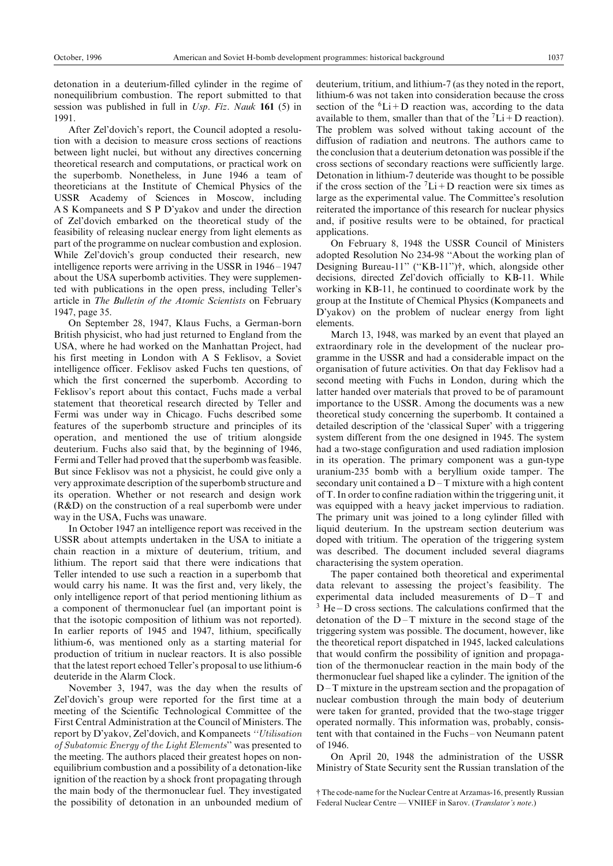detonation in a deuterium-filled cylinder in the regime of nonequilibrium combustion. The report submitted to that session was published in full in Usp. Fiz. Nauk 161 (5) in 1991.

After Zel'dovich's report, the Council adopted a resolution with a decision to measure cross sections of reactions between light nuclei, but without any directives concerning theoretical research and computations, or practical work on the superbomb. Nonetheless, in June 1946 a team of theoreticians at the Institute of Chemical Physics of the USSR Academy of Sciences in Moscow, including A S Kompaneets and S P D'yakov and under the direction of Zel'dovich embarked on the theoretical study of the feasibility of releasing nuclear energy from light elements as part of the programme on nuclear combustion and explosion. While Zel'dovich's group conducted their research, new intelligence reports were arriving in the USSR in  $1946 - 1947$ about the USA superbomb activities. They were supplemented with publications in the open press, including Teller's article in The Bulletin of the Atomic Scientists on February 1947, page 35.

On September 28, 1947, Klaus Fuchs, a German-born British physicist, who had just returned to England from the USA, where he had worked on the Manhattan Project, had his first meeting in London with A S Feklisov, a Soviet intelligence officer. Feklisov asked Fuchs ten questions, of which the first concerned the superbomb. According to Feklisov's report about this contact, Fuchs made a verbal statement that theoretical research directed by Teller and Fermi was under way in Chicago. Fuchs described some features of the superbomb structure and principles of its operation, and mentioned the use of tritium alongside deuterium. Fuchs also said that, by the beginning of 1946, Fermi and Teller had proved that the superbomb was feasible. But since Feklisov was not a physicist, he could give only a very approximate description of the superbomb structure and its operation. Whether or not research and design work (R&D) on the construction of a real superbomb were under way in the USA, Fuchs was unaware.

In October 1947 an intelligence report was received in the USSR about attempts undertaken in the USA to initiate a chain reaction in a mixture of deuterium, tritium, and lithium. The report said that there were indications that Teller intended to use such a reaction in a superbomb that would carry his name. It was the first and, very likely, the only intelligence report of that period mentioning lithium as a component of thermonuclear fuel (an important point is that the isotopic composition of lithium was not reported). In earlier reports of 1945 and 1947, lithium, specifically lithium-6, was mentioned only as a starting material for production of tritium in nuclear reactors. It is also possible that the latest report echoed Teller's proposal to use lithium-6 deuteride in the Alarm Clock.

November 3, 1947, was the day when the results of Zel'dovich's group were reported for the first time at a meeting of the Scientific Technological Committee of the First Central Administration at the Council of Ministers. The report by D'yakov, Zel'dovich, and Kompaneets "Utilisation of Subatomic Energy of the Light Elements'' was presented to the meeting. The authors placed their greatest hopes on nonequilibrium combustion and a possibility of a detonation-like ignition of the reaction by a shock front propagating through the main body of the thermonuclear fuel. They investigated the possibility of detonation in an unbounded medium of

deuterium, tritium, and lithium-7 (as they noted in the report, lithium-6 was not taken into consideration because the cross section of the  ${}^{6}Li+D$  reaction was, according to the data available to them, smaller than that of the  ${}^{7}Li+D$  reaction). The problem was solved without taking account of the diffusion of radiation and neutrons. The authors came to the conclusion that a deuterium detonation was possible if the cross sections of secondary reactions were sufficiently large. Detonation in lithium-7 deuteride was thought to be possible if the cross section of the  ${}^{7}Li+D$  reaction were six times as large as the experimental value. The Committee's resolution reiterated the importance of this research for nuclear physics and, if positive results were to be obtained, for practical applications.

On February 8, 1948 the USSR Council of Ministers adopted Resolution No 234-98 "About the working plan of Designing Bureau-11" ("KB-11")<sup>†</sup>, which, alongside other decisions, directed Zel'dovich officially to KB-11. While working in KB-11, he continued to coordinate work by the group at the Institute of Chemical Physics (Kompaneets and D'yakov) on the problem of nuclear energy from light elements.

March 13, 1948, was marked by an event that played an extraordinary role in the development of the nuclear programme in the USSR and had a considerable impact on the organisation of future activities. On that day Feklisov had a second meeting with Fuchs in London, during which the latter handed over materials that proved to be of paramount importance to the USSR. Among the documents was a new theoretical study concerning the superbomb. It contained a detailed description of the `classical Super' with a triggering system different from the one designed in 1945. The system had a two-stage configuration and used radiation implosion in its operation. The primary component was a gun-type uranium-235 bomb with a beryllium oxide tamper. The secondary unit contained a  $D-T$  mixture with a high content of T. In order to confine radiation within the triggering unit, it was equipped with a heavy jacket impervious to radiation. The primary unit was joined to a long cylinder filled with liquid deuterium. In the upstream section deuterium was doped with tritium. The operation of the triggering system was described. The document included several diagrams characterising the system operation.

The paper contained both theoretical and experimental data relevant to assessing the project's feasibility. The experimental data included measurements of  $D-T$  and  $3$  He $-D$  cross sections. The calculations confirmed that the detonation of the  $D-T$  mixture in the second stage of the triggering system was possible. The document, however, like the theoretical report dispatched in 1945, lacked calculations that would confirm the possibility of ignition and propagation of the thermonuclear reaction in the main body of the thermonuclear fuel shaped like a cylinder. The ignition of the  $D-T$  mixture in the upstream section and the propagation of nuclear combustion through the main body of deuterium were taken for granted, provided that the two-stage trigger operated normally. This information was, probably, consistent with that contained in the Fuchs-von Neumann patent of 1946.

On April 20, 1948 the administration of the USSR Ministry of State Security sent the Russian translation of the

{ The code-name for the Nuclear Centre at Arzamas-16, presently Russian Federal Nuclear Centre — VNIIEF in Sarov. (Translator's note.)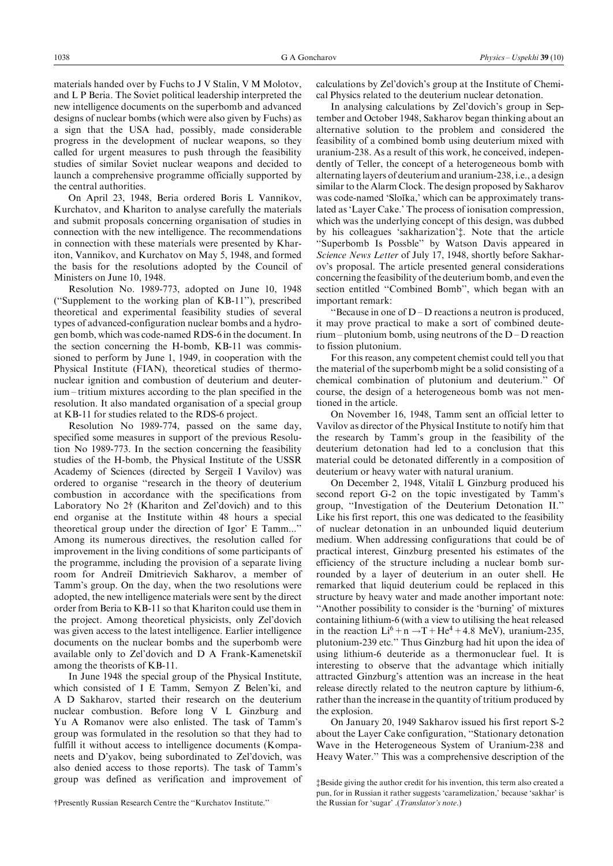materials handed over by Fuchs to J V Stalin, V M Molotov, and L P Beria. The Soviet political leadership interpreted the new intelligence documents on the superbomb and advanced designs of nuclear bombs (which were also given by Fuchs) as a sign that the USA had, possibly, made considerable progress in the development of nuclear weapons, so they called for urgent measures to push through the feasibility studies of similar Soviet nuclear weapons and decided to launch a comprehensive programme officially supported by the central authorities.

On April 23, 1948, Beria ordered Boris L Vannikov, Kurchatov, and Khariton to analyse carefully the materials and submit proposals concerning organisation of studies in connection with the new intelligence. The recommendations in connection with these materials were presented by Khariton, Vannikov, and Kurchatov on May 5, 1948, and formed the basis for the resolutions adopted by the Council of Ministers on June 10, 1948.

Resolution No. 1989-773, adopted on June 10, 1948 (``Supplement to the working plan of KB-11''), prescribed theoretical and experimental feasibility studies of several types of advanced-configuration nuclear bombs and a hydrogen bomb, which was code-named RDS-6 in the document. In the section concerning the H-bomb, KB-11 was commissioned to perform by June 1, 1949, in cooperation with the Physical Institute (FIAN), theoretical studies of thermonuclear ignition and combustion of deuterium and deuterium – tritium mixtures according to the plan specified in the resolution. It also mandated organisation of a special group at KB-11 for studies related to the RDS-6 project.

Resolution No 1989-774, passed on the same day, specified some measures in support of the previous Resolution No 1989-773. In the section concerning the feasibility studies of the H-bomb, the Physical Institute of the USSR Academy of Sciences (directed by Sergeii I Vavilov) was ordered to organise "research in the theory of deuterium combustion in accordance with the specifications from Laboratory No  $2\dagger$  (Khariton and Zel'dovich) and to this end organise at the Institute within 48 hours a special theoretical group under the direction of Igor' E Tamm...'' Among its numerous directives, the resolution called for improvement in the living conditions of some participants of the programme, including the provision of a separate living room for Andreii Dmitrievich Sakharov, a member of Tamm's group. On the day, when the two resolutions were adopted, the new intelligence materials were sent by the direct order from Beria to KB-11 so that Khariton could use them in the project. Among theoretical physicists, only Zel'dovich was given access to the latest intelligence. Earlier intelligence documents on the nuclear bombs and the superbomb were available only to Zel'dovich and D A Frank-Kamenetskii among the theorists of KB-11.

In June 1948 the special group of the Physical Institute, which consisted of I E Tamm, Semyon Z Belen'ki, and A D Sakharov, started their research on the deuterium nuclear combustion. Before long V L Ginzburg and Yu A Romanov were also enlisted. The task of Tamm's group was formulated in the resolution so that they had to fulfill it without access to intelligence documents (Kompaneets and D'yakov, being subordinated to Zel'dovich, was also denied access to those reports). The task of Tamm's group was defined as verification and improvement of calculations by Zel'dovich's group at the Institute of Chemical Physics related to the deuterium nuclear detonation.

In analysing calculations by Zel'dovich's group in September and October 1948, Sakharov began thinking about an alternative solution to the problem and considered the feasibility of a combined bomb using deuterium mixed with uranium-238. As a result of this work, he conceived, independently of Teller, the concept of a heterogeneous bomb with alternating layers of deuterium and uranium-238, i.e., a design similar to the Alarm Clock. The design proposed by Sakharov was code-named 'Sloika,' which can be approximately translated as 'Layer Cake.' The process of ionisation compression, which was the underlying concept of this design, was dubbed by his colleagues 'sakharization'<sup>†</sup>. Note that the article ``Superbomb Is Possble'' by Watson Davis appeared in Science News Letter of July 17, 1948, shortly before Sakharov's proposal. The article presented general considerations concerning the feasibility of the deuterium bomb, and even the section entitled "Combined Bomb", which began with an important remark:

"Because in one of  $D - D$  reactions a neutron is produced, it may prove practical to make a sort of combined deuterium – plutonium bomb, using neutrons of the  $D - D$  reaction to fission plutonium.

For this reason, any competent chemist could tell you that the material of the superbomb might be a solid consisting of a chemical combination of plutonium and deuterium.'' Of course, the design of a heterogeneous bomb was not mentioned in the article.

On November 16, 1948, Tamm sent an official letter to Vavilov as director of the Physical Institute to notify him that the research by Tamm's group in the feasibility of the deuterium detonation had led to a conclusion that this material could be detonated differently in a composition of deuterium or heavy water with natural uranium.

On December 2, 1948, Vitaliĭ L Ginzburg produced his second report G-2 on the topic investigated by Tamm's group, ``Investigation of the Deuterium Detonation II.'' Like his first report, this one was dedicated to the feasibility of nuclear detonation in an unbounded liquid deuterium medium. When addressing configurations that could be of practical interest, Ginzburg presented his estimates of the efficiency of the structure including a nuclear bomb surrounded by a layer of deuterium in an outer shell. He remarked that liquid deuterium could be replaced in this structure by heavy water and made another important note: ``Another possibility to consider is the `burning' of mixtures containing lithium-6 (with a view to utilising the heat released in the reaction  $Li^6 + n \rightarrow T + He^4 + 4.8$  MeV), uranium-235, plutonium-239 etc.'' Thus Ginzburg had hit upon the idea of using lithium-6 deuteride as a thermonuclear fuel. It is interesting to observe that the advantage which initially attracted Ginzburg's attention was an increase in the heat release directly related to the neutron capture by lithium-6, rather than the increase in the quantity of tritium produced by the explosion.

On January 20, 1949 Sakharov issued his first report S-2 about the Layer Cake configuration, "Stationary detonation Wave in the Heterogeneous System of Uranium-238 and Heavy Water.'' This was a comprehensive description of the

<sup>{</sup>Beside giving the author credit for his invention, this term also created a pun, for in Russian it rather suggests 'caramelization,' because 'sakhar' is the Russian for 'sugar' .(Translator's note.)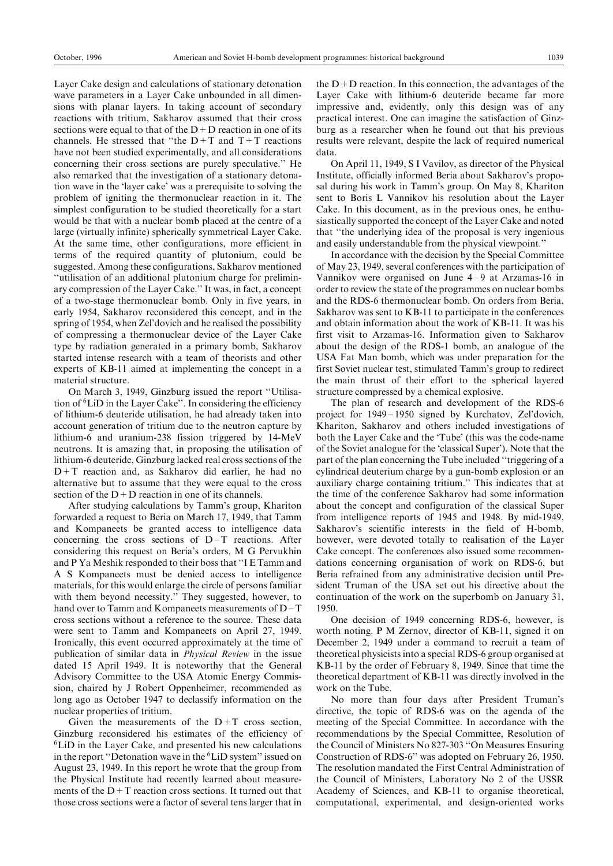Layer Cake design and calculations of stationary detonation wave parameters in a Layer Cake unbounded in all dimensions with planar layers. In taking account of secondary reactions with tritium, Sakharov assumed that their cross sections were equal to that of the  $D+D$  reaction in one of its channels. He stressed that "the  $D+T$  and  $T+T$  reactions have not been studied experimentally, and all considerations concerning their cross sections are purely speculative.'' He also remarked that the investigation of a stationary detonation wave in the `layer cake' was a prerequisite to solving the problem of igniting the thermonuclear reaction in it. The simplest configuration to be studied theoretically for a start would be that with a nuclear bomb placed at the centre of a large (virtually infinite) spherically symmetrical Layer Cake. At the same time, other configurations, more efficient in terms of the required quantity of plutonium, could be suggested. Among these configurations, Sakharov mentioned ``utilisation of an additional plutonium charge for preliminary compression of the Layer Cake.'' It was, in fact, a concept of a two-stage thermonuclear bomb. Only in five years, in early 1954, Sakharov reconsidered this concept, and in the spring of 1954, when Zel'dovich and he realised the possibility of compressing a thermonuclear device of the Layer Cake type by radiation generated in a primary bomb, Sakharov started intense research with a team of theorists and other experts of KB-11 aimed at implementing the concept in a material structure.

On March 3, 1949, Ginzburg issued the report "Utilisation of 6LiD in the Layer Cake''. In considering the efficiency of lithium-6 deuteride utilisation, he had already taken into account generation of tritium due to the neutron capture by lithium-6 and uranium-238 fission triggered by 14-MeV neutrons. It is amazing that, in proposing the utilisation of lithium-6 deuteride, Ginzburg lacked real cross sections of the D+T reaction and, as Sakharov did earlier, he had no alternative but to assume that they were equal to the cross section of the  $D+D$  reaction in one of its channels.

After studying calculations by Tamm's group, Khariton forwarded a request to Beria on March 17, 1949, that Tamm and Kompaneets be granted access to intelligence data concerning the cross sections of  $D-T$  reactions. After considering this request on Beria's orders, M G Pervukhin and P Ya Meshik responded to their boss that ``I E Tamm and A S Kompaneets must be denied access to intelligence materials, for this would enlarge the circle of persons familiar with them beyond necessity.'' They suggested, however, to hand over to Tamm and Kompaneets measurements of  $D-T$ cross sections without a reference to the source. These data were sent to Tamm and Kompaneets on April 27, 1949. Ironically, this event occurred approximately at the time of publication of similar data in Physical Review in the issue dated 15 April 1949. It is noteworthy that the General Advisory Committee to the USA Atomic Energy Commission, chaired by J Robert Oppenheimer, recommended as long ago as October 1947 to declassify information on the nuclear properties of tritium.

Given the measurements of the  $D+T$  cross section, Ginzburg reconsidered his estimates of the efficiency of <sup>6</sup>LiD in the Layer Cake, and presented his new calculations in the report "Detonation wave in the <sup>6</sup>LiD system" issued on August 23, 1949. In this report he wrote that the group from the Physical Institute had recently learned about measurements of the  $D+T$  reaction cross sections. It turned out that those cross sections were a factor of several tens larger that in

the  $D+D$  reaction. In this connection, the advantages of the Layer Cake with lithium-6 deuteride became far more impressive and, evidently, only this design was of any practical interest. One can imagine the satisfaction of Ginzburg as a researcher when he found out that his previous results were relevant, despite the lack of required numerical data.

On April 11, 1949, S I Vavilov, as director of the Physical Institute, officially informed Beria about Sakharov's proposal during his work in Tamm's group. On May 8, Khariton sent to Boris L Vannikov his resolution about the Layer Cake. In this document, as in the previous ones, he enthusiastically supported the concept of the Layer Cake and noted that "the underlying idea of the proposal is very ingenious and easily understandable from the physical viewpoint.''

In accordance with the decision by the Special Committee of May 23, 1949, several conferences with the participation of Vannikov were organised on June  $4-9$  at Arzamas-16 in order to review the state of the programmes on nuclear bombs and the RDS-6 thermonuclear bomb. On orders from Beria, Sakharov was sent to KB-11 to participate in the conferences and obtain information about the work of KB-11. It was his first visit to Arzamas-16. Information given to Sakharov about the design of the RDS-1 bomb, an analogue of the USA Fat Man bomb, which was under preparation for the first Soviet nuclear test, stimulated Tamm's group to redirect the main thrust of their effort to the spherical layered structure compressed by a chemical explosive.

The plan of research and development of the RDS-6 project for 1949–1950 signed by Kurchatov, Zel'dovich, Khariton, Sakharov and others included investigations of both the Layer Cake and the `Tube' (this was the code-name of the Soviet analogue for the `classical Super'). Note that the part of the plan concerning the Tube included "triggering of a cylindrical deuterium charge by a gun-bomb explosion or an auxiliary charge containing tritium.'' This indicates that at the time of the conference Sakharov had some information about the concept and configuration of the classical Super from intelligence reports of 1945 and 1948. By mid-1949, Sakharov's scientific interests in the field of H-bomb, however, were devoted totally to realisation of the Layer Cake concept. The conferences also issued some recommendations concerning organisation of work on RDS-6, but Beria refrained from any administrative decision until President Truman of the USA set out his directive about the continuation of the work on the superbomb on January 31, 1950.

One decision of 1949 concerning RDS-6, however, is worth noting. P M Zernov, director of KB-11, signed it on December 2, 1949 under a command to recruit a team of theoretical physicists into a special RDS-6 group organised at KB-11 by the order of February 8, 1949. Since that time the theoretical department of KB-11 was directly involved in the work on the Tube.

No more than four days after President Truman's directive, the topic of RDS-6 was on the agenda of the meeting of the Special Committee. In accordance with the recommendations by the Special Committee, Resolution of the Council of Ministers No 827-303 "On Measures Ensuring Construction of RDS-6'' was adopted on February 26, 1950. The resolution mandated the First Central Administration of the Council of Ministers, Laboratory No 2 of the USSR Academy of Sciences, and KB-11 to organise theoretical, computational, experimental, and design-oriented works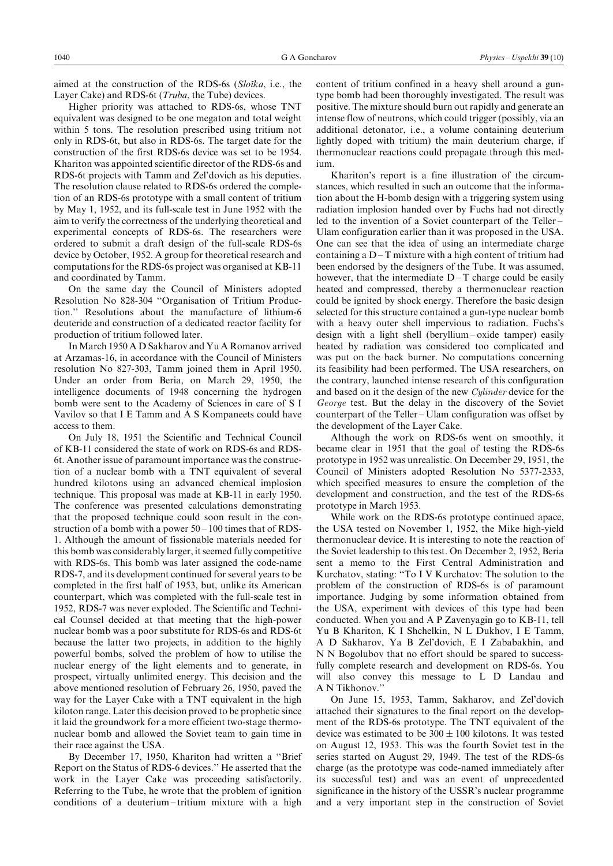aimed at the construction of the RDS-6s ( $Slo\ddot{a}k$ a, i.e., the Layer Cake) and RDS-6t (*Truba*, the Tube) devices.

Higher priority was attached to RDS-6s, whose TNT equivalent was designed to be one megaton and total weight within 5 tons. The resolution prescribed using tritium not only in RDS-6t, but also in RDS-6s. The target date for the construction of the first RDS-6s device was set to be 1954. Khariton was appointed scientific director of the RDS-6s and RDS-6t projects with Tamm and Zel'dovich as his deputies. The resolution clause related to RDS-6s ordered the completion of an RDS-6s prototype with a small content of tritium by May 1, 1952, and its full-scale test in June 1952 with the aim to verify the correctness of the underlying theoretical and experimental concepts of RDS-6s. The researchers were ordered to submit a draft design of the full-scale RDS-6s device by October, 1952. A group for theoretical research and computations for the RDS-6s project was organised at KB-11 and coordinated by Tamm.

On the same day the Council of Ministers adopted Resolution No 828-304 "Organisation of Tritium Production.'' Resolutions about the manufacture of lithium-6 deuteride and construction of a dedicated reactor facility for production of tritium followed later.

In March 1950 A D Sakharov and Yu A Romanov arrived at Arzamas-16, in accordance with the Council of Ministers resolution No 827-303, Tamm joined them in April 1950. Under an order from Beria, on March 29, 1950, the intelligence documents of 1948 concerning the hydrogen bomb were sent to the Academy of Sciences in care of S I Vavilov so that I E Tamm and A S Kompaneets could have access to them.

On July 18, 1951 the Scientific and Technical Council of KB-11 considered the state of work on RDS-6s and RDS-6t. Another issue of paramount importance was the construction of a nuclear bomb with a TNT equivalent of several hundred kilotons using an advanced chemical implosion technique. This proposal was made at KB-11 in early 1950. The conference was presented calculations demonstrating that the proposed technique could soon result in the construction of a bomb with a power  $50 - 100$  times that of RDS-1. Although the amount of fissionable materials needed for this bomb was considerably larger, it seemed fully competitive with RDS-6s. This bomb was later assigned the code-name RDS-7, and its development continued for several years to be completed in the first half of 1953, but, unlike its American counterpart, which was completed with the full-scale test in 1952, RDS-7 was never exploded. The Scientific and Technical Counsel decided at that meeting that the high-power nuclear bomb was a poor substitute for RDS-6s and RDS-6t because the latter two projects, in addition to the highly powerful bombs, solved the problem of how to utilise the nuclear energy of the light elements and to generate, in prospect, virtually unlimited energy. This decision and the above mentioned resolution of February 26, 1950, paved the way for the Layer Cake with a TNT equivalent in the high kiloton range. Later this decision proved to be prophetic since it laid the groundwork for a more efficient two-stage thermonuclear bomb and allowed the Soviet team to gain time in their race against the USA.

By December 17, 1950, Khariton had written a "Brief Report on the Status of RDS-6 devices.'' He asserted that the work in the Layer Cake was proceeding satisfactorily. Referring to the Tube, he wrote that the problem of ignition conditions of a deuterium-tritium mixture with a high

content of tritium confined in a heavy shell around a guntype bomb had been thoroughly investigated. The result was positive. The mixture should burn out rapidly and generate an intense flow of neutrons, which could trigger (possibly, via an additional detonator, i.e., a volume containing deuterium lightly doped with tritium) the main deuterium charge, if thermonuclear reactions could propagate through this medium.

Khariton's report is a fine illustration of the circumstances, which resulted in such an outcome that the information about the H-bomb design with a triggering system using radiation implosion handed over by Fuchs had not directly led to the invention of a Soviet counterpart of the Teller  $-$ Ulam configuration earlier than it was proposed in the USA. One can see that the idea of using an intermediate charge containing a  $D-T$  mixture with a high content of tritium had been endorsed by the designers of the Tube. It was assumed, however, that the intermediate  $D-T$  charge could be easily heated and compressed, thereby a thermonuclear reaction could be ignited by shock energy. Therefore the basic design selected for this structure contained a gun-type nuclear bomb with a heavy outer shell impervious to radiation. Fuchs's design with a light shell (beryllium  $-\text{o}x$  design  $\text{v}$ ) easily heated by radiation was considered too complicated and was put on the back burner. No computations concerning its feasibility had been performed. The USA researchers, on the contrary, launched intense research of this configuration and based on it the design of the new Cylinder device for the George test. But the delay in the discovery of the Soviet counterpart of the Teller  $-$  Ulam configuration was offset by the development of the Layer Cake.

Although the work on RDS-6s went on smoothly, it became clear in 1951 that the goal of testing the RDS-6s prototype in 1952 was unrealistic. On December 29, 1951, the Council of Ministers adopted Resolution No 5377-2333, which specified measures to ensure the completion of the development and construction, and the test of the RDS-6s prototype in March 1953.

While work on the RDS-6s prototype continued apace, the USA tested on November 1, 1952, the Mike high-yield thermonuclear device. It is interesting to note the reaction of the Soviet leadership to this test. On December 2, 1952, Beria sent a memo to the First Central Administration and Kurchatov, stating: "To I V Kurchatov: The solution to the problem of the construction of RDS-6s is of paramount importance. Judging by some information obtained from the USA, experiment with devices of this type had been conducted. When you and A P Zavenyagin go to KB-11, tell Yu B Khariton, K I Shchelkin, N L Dukhov, I E Tamm, A D Sakharov, Ya B Zel'dovich, E I Zababakhin, and N N Bogolubov that no effort should be spared to successfully complete research and development on RDS-6s. You will also convey this message to L D Landau and A N Tikhonov.''

On June 15, 1953, Tamm, Sakharov, and Zel'dovich attached their signatures to the final report on the development of the RDS-6s prototype. The TNT equivalent of the device was estimated to be  $300 \pm 100$  kilotons. It was tested on August 12, 1953. This was the fourth Soviet test in the series started on August 29, 1949. The test of the RDS-6s charge (as the prototype was code-named immediately after its successful test) and was an event of unprecedented significance in the history of the USSR's nuclear programme and a very important step in the construction of Soviet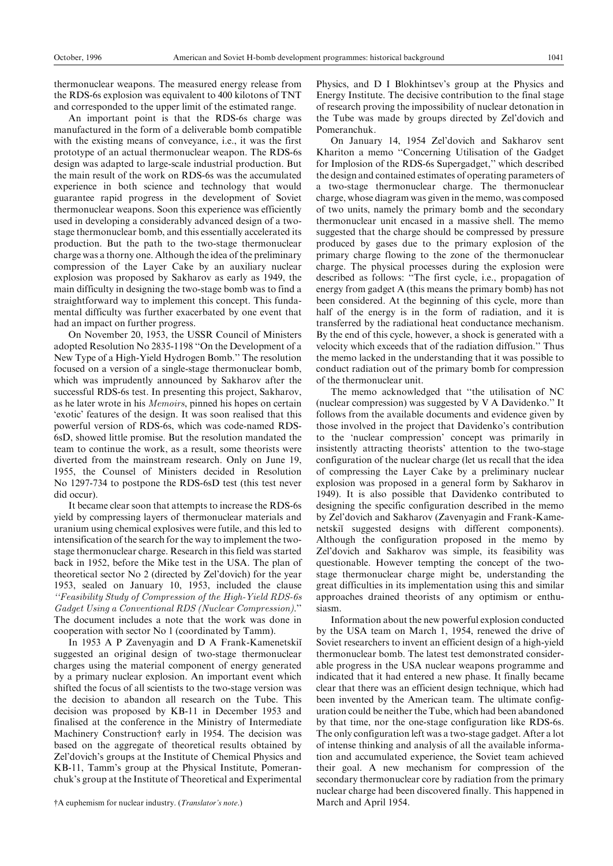thermonuclear weapons. The measured energy release from the RDS-6s explosion was equivalent to 400 kilotons of TNT and corresponded to the upper limit of the estimated range.

An important point is that the RDS-6s charge was manufactured in the form of a deliverable bomb compatible with the existing means of conveyance, i.e., it was the first prototype of an actual thermonuclear weapon. The RDS-6s design was adapted to large-scale industrial production. But the main result of the work on RDS-6s was the accumulated experience in both science and technology that would guarantee rapid progress in the development of Soviet thermonuclear weapons. Soon this experience was efficiently used in developing a considerably advanced design of a twostage thermonuclear bomb, and this essentially accelerated its production. But the path to the two-stage thermonuclear charge was a thorny one. Although the idea of the preliminary compression of the Layer Cake by an auxiliary nuclear explosion was proposed by Sakharov as early as 1949, the main difficulty in designing the two-stage bomb was to find a straightforward way to implement this concept. This fundamental difficulty was further exacerbated by one event that had an impact on further progress.

On November 20, 1953, the USSR Council of Ministers adopted Resolution No 2835-1198 "On the Development of a New Type of a High-Yield Hydrogen Bomb.'' The resolution focused on a version of a single-stage thermonuclear bomb, which was imprudently announced by Sakharov after the successful RDS-6s test. In presenting this project, Sakharov, as he later wrote in his Memoirs, pinned his hopes on certain `exotic' features of the design. It was soon realised that this powerful version of RDS-6s, which was code-named RDS-6sD, showed little promise. But the resolution mandated the team to continue the work, as a result, some theorists were diverted from the mainstream research. Only on June 19, 1955, the Counsel of Ministers decided in Resolution No 1297-734 to postpone the RDS-6sD test (this test never did occur).

It became clear soon that attempts to increase the RDS-6s yield by compressing layers of thermonuclear materials and uranium using chemical explosives were futile, and this led to intensification of the search for the way to implement the twostage thermonuclear charge. Research in this field was started back in 1952, before the Mike test in the USA. The plan of theoretical sector No 2 (directed by Zel'dovich) for the year 1953, sealed on January 10, 1953, included the clause ``Feasibility Study of Compression of the High-Yield RDS-6s Gadget Using a Conventional RDS (Nuclear Compression).'' The document includes a note that the work was done in cooperation with sector No 1 (coordinated by Tamm).

In 1953 A P Zavenyagin and  $D$  A Frank-Kamenetski $\tilde{I}$ suggested an original design of two-stage thermonuclear charges using the material component of energy generated by a primary nuclear explosion. An important event which shifted the focus of all scientists to the two-stage version was the decision to abandon all research on the Tube. This decision was proposed by KB-11 in December 1953 and finalised at the conference in the Ministry of Intermediate Machinery Construction† early in 1954. The decision was based on the aggregate of theoretical results obtained by Zel'dovich's groups at the Institute of Chemical Physics and KB-11, Tamm's group at the Physical Institute, Pomeranchuk's group at the Institute of Theoretical and Experimental Physics, and D I Blokhintsev's group at the Physics and Energy Institute. The decisive contribution to the final stage of research proving the impossibility of nuclear detonation in the Tube was made by groups directed by Zel'dovich and Pomeranchuk.

On January 14, 1954 Zel'dovich and Sakharov sent Khariton a memo "Concerning Utilisation of the Gadget for Implosion of the RDS-6s Supergadget,'' which described the design and contained estimates of operating parameters of a two-stage thermonuclear charge. The thermonuclear charge, whose diagram was given in the memo, was composed of two units, namely the primary bomb and the secondary thermonuclear unit encased in a massive shell. The memo suggested that the charge should be compressed by pressure produced by gases due to the primary explosion of the primary charge flowing to the zone of the thermonuclear charge. The physical processes during the explosion were described as follows: "The first cycle, i.e., propagation of energy from gadget A (this means the primary bomb) has not been considered. At the beginning of this cycle, more than half of the energy is in the form of radiation, and it is transferred by the radiational heat conductance mechanism. By the end of this cycle, however, a shock is generated with a velocity which exceeds that of the radiation diffusion.'' Thus the memo lacked in the understanding that it was possible to conduct radiation out of the primary bomb for compression of the thermonuclear unit.

The memo acknowledged that "the utilisation of NC (nuclear compression) was suggested by V A Davidenko.'' It follows from the available documents and evidence given by those involved in the project that Davidenko's contribution to the `nuclear compression' concept was primarily in insistently attracting theorists' attention to the two-stage configuration of the nuclear charge (let us recall that the idea of compressing the Layer Cake by a preliminary nuclear explosion was proposed in a general form by Sakharov in 1949). It is also possible that Davidenko contributed to designing the specific configuration described in the memo by Zel'dovich and Sakharov (Zavenyagin and Frank-Kamenetskii suggested designs with different components). Although the configuration proposed in the memo by Zel'dovich and Sakharov was simple, its feasibility was questionable. However tempting the concept of the twostage thermonuclear charge might be, understanding the great difficulties in its implementation using this and similar approaches drained theorists of any optimism or enthusiasm.

Information about the new powerful explosion conducted by the USA team on March 1, 1954, renewed the drive of Soviet researchers to invent an efficient design of a high-yield thermonuclear bomb. The latest test demonstrated considerable progress in the USA nuclear weapons programme and indicated that it had entered a new phase. It finally became clear that there was an efficient design technique, which had been invented by the American team. The ultimate configuration could be neither the Tube, which had been abandoned by that time, nor the one-stage configuration like RDS-6s. The only configuration left was a two-stage gadget. After a lot of intense thinking and analysis of all the available information and accumulated experience, the Soviet team achieved their goal. A new mechanism for compression of the secondary thermonuclear core by radiation from the primary nuclear charge had been discovered finally. This happened in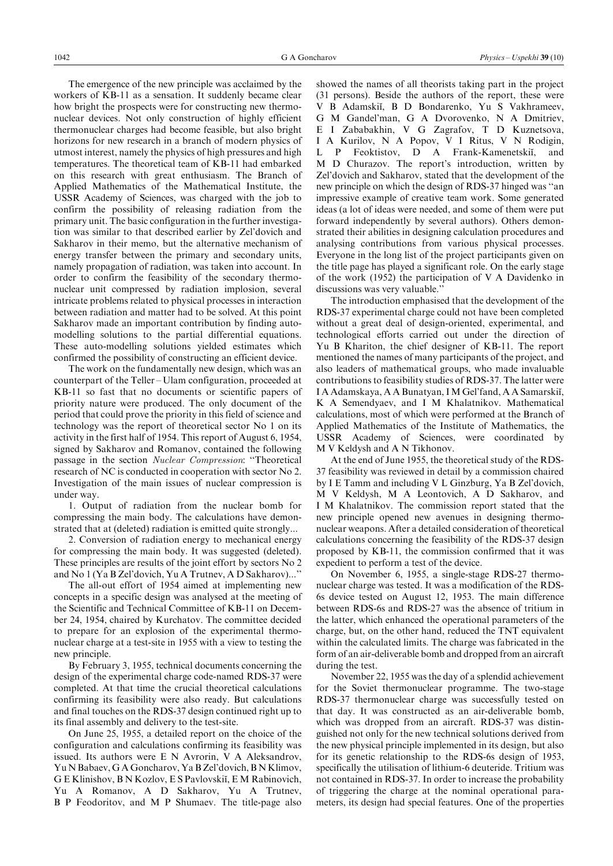The emergence of the new principle was acclaimed by the workers of KB-11 as a sensation. It suddenly became clear how bright the prospects were for constructing new thermonuclear devices. Not only construction of highly efficient thermonuclear charges had become feasible, but also bright horizons for new research in a branch of modern physics of utmost interest, namely the physics of high pressures and high temperatures. The theoretical team of KB-11 had embarked on this research with great enthusiasm. The Branch of Applied Mathematics of the Mathematical Institute, the USSR Academy of Sciences, was charged with the job to confirm the possibility of releasing radiation from the primary unit. The basic configuration in the further investigation was similar to that described earlier by Zel'dovich and Sakharov in their memo, but the alternative mechanism of energy transfer between the primary and secondary units, namely propagation of radiation, was taken into account. In order to confirm the feasibility of the secondary thermonuclear unit compressed by radiation implosion, several intricate problems related to physical processes in interaction between radiation and matter had to be solved. At this point Sakharov made an important contribution by finding automodelling solutions to the partial differential equations. These auto-modelling solutions yielded estimates which confirmed the possibility of constructing an efficient device.

The work on the fundamentally new design, which was an counterpart of the Teller – Ulam configuration, proceeded at KB-11 so fast that no documents or scientific papers of priority nature were produced. The only document of the period that could prove the priority in this field of science and technology was the report of theoretical sector No 1 on its activity in the first half of 1954. This report of August 6, 1954, signed by Sakharov and Romanov, contained the following passage in the section Nuclear Compression: "Theoretical research of NC is conducted in cooperation with sector No 2. Investigation of the main issues of nuclear compression is under way.

1. Output of radiation from the nuclear bomb for compressing the main body. The calculations have demonstrated that at (deleted) radiation is emitted quite strongly...

2. Conversion of radiation energy to mechanical energy for compressing the main body. It was suggested (deleted). These principles are results of the joint effort by sectors No 2 and No 1 (Ya B Zel'dovich, Yu A Trutnev, A D Sakharov)...''

The all-out effort of 1954 aimed at implementing new concepts in a specific design was analysed at the meeting of the Scientific and Technical Committee of KB-11 on December 24, 1954, chaired by Kurchatov. The committee decided to prepare for an explosion of the experimental thermonuclear charge at a test-site in 1955 with a view to testing the new principle.

By February 3, 1955, technical documents concerning the design of the experimental charge code-named RDS-37 were completed. At that time the crucial theoretical calculations confirming its feasibility were also ready. But calculations and final touches on the RDS-37 design continued right up to its final assembly and delivery to the test-site.

On June 25, 1955, a detailed report on the choice of the configuration and calculations confirming its feasibility was issued. Its authors were E N Avrorin, V A Aleksandrov, Yu N Babaev, G A Goncharov, Ya B Zel'dovich, B N Klimov, G E Klinishov, B N Kozlov, E S Pavlovskii, E M Rabinovich, Yu A Romanov, A D Sakharov, Yu A Trutnev, B P Feodoritov, and M P Shumaev. The title-page also showed the names of all theorists taking part in the project (31 persons). Beside the authors of the report, these were V B Adamskii, B D Bondarenko, Yu S Vakhrameev, G M Gandel'man, G A Dvorovenko, N A Dmitriev, E I Zababakhin, V G Zagrafov, T D Kuznetsova, I A Kurilov, N A Popov, V I Ritus, V N Rodigin, L P Feoktistov, D A Frank-Kamenetskii, and M D Churazov. The report's introduction, written by Zel'dovich and Sakharov, stated that the development of the new principle on which the design of RDS-37 hinged was "an impressive example of creative team work. Some generated ideas (a lot of ideas were needed, and some of them were put forward independently by several authors). Others demonstrated their abilities in designing calculation procedures and analysing contributions from various physical processes. Everyone in the long list of the project participants given on the title page has played a significant role. On the early stage of the work (1952) the participation of V A Davidenko in discussions was very valuable.''

The introduction emphasised that the development of the RDS-37 experimental charge could not have been completed without a great deal of design-oriented, experimental, and technological efforts carried out under the direction of Yu B Khariton, the chief designer of KB-11. The report mentioned the names of many participants of the project, and also leaders of mathematical groups, who made invaluable contributions to feasibility studies of RDS-37. The latter were I A Adamskaya, A A Bunatyan, I M Gel'fand, A A Samarskii, K A Semendyaev, and I M Khalatnikov. Mathematical calculations, most of which were performed at the Branch of Applied Mathematics of the Institute of Mathematics, the USSR Academy of Sciences, were coordinated by M V Keldysh and A N Tikhonov.

At the end of June 1955, the theoretical study of the RDS-37 feasibility was reviewed in detail by a commission chaired by I E Tamm and including V L Ginzburg, Ya B Zel'dovich, M V Keldysh, M A Leontovich, A D Sakharov, and I M Khalatnikov. The commission report stated that the new principle opened new avenues in designing thermonuclear weapons. After a detailed consideration of theoretical calculations concerning the feasibility of the RDS-37 design proposed by KB-11, the commission confirmed that it was expedient to perform a test of the device.

On November 6, 1955, a single-stage RDS-27 thermonuclear charge was tested. It was a modification of the RDS-6s device tested on August 12, 1953. The main difference between RDS-6s and RDS-27 was the absence of tritium in the latter, which enhanced the operational parameters of the charge, but, on the other hand, reduced the TNT equivalent within the calculated limits. The charge was fabricated in the form of an air-deliverable bomb and dropped from an aircraft during the test.

November 22, 1955 was the day of a splendid achievement for the Soviet thermonuclear programme. The two-stage RDS-37 thermonuclear charge was successfully tested on that day. It was constructed as an air-deliverable bomb, which was dropped from an aircraft. RDS-37 was distinguished not only for the new technical solutions derived from the new physical principle implemented in its design, but also for its genetic relationship to the RDS-6s design of 1953, specifically the utilisation of lithium-6 deuteride. Tritium was not contained in RDS-37. In order to increase the probability of triggering the charge at the nominal operational parameters, its design had special features. One of the properties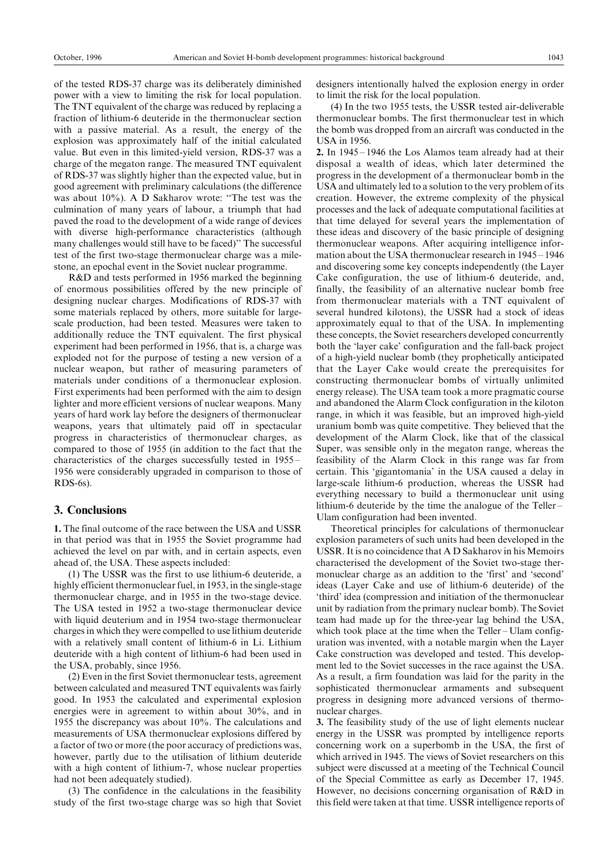of the tested RDS-37 charge was its deliberately diminished power with a view to limiting the risk for local population. The TNT equivalent of the charge was reduced by replacing a fraction of lithium-6 deuteride in the thermonuclear section with a passive material. As a result, the energy of the explosion was approximately half of the initial calculated value. But even in this limited-yield version, RDS-37 was a charge of the megaton range. The measured TNT equivalent of RDS-37 was slightly higher than the expected value, but in good agreement with preliminary calculations (the difference was about  $10\%$ ). A D Sakharov wrote: "The test was the culmination of many years of labour, a triumph that had paved the road to the development of a wide range of devices with diverse high-performance characteristics (although many challenges would still have to be faced)'' The successful test of the first two-stage thermonuclear charge was a milestone, an epochal event in the Soviet nuclear programme.

R&D and tests performed in 1956 marked the beginning of enormous possibilities offered by the new principle of designing nuclear charges. Modifications of RDS-37 with some materials replaced by others, more suitable for largescale production, had been tested. Measures were taken to additionally reduce the TNT equivalent. The first physical experiment had been performed in 1956, that is, a charge was exploded not for the purpose of testing a new version of a nuclear weapon, but rather of measuring parameters of materials under conditions of a thermonuclear explosion. First experiments had been performed with the aim to design lighter and more efficient versions of nuclear weapons. Many years of hard work lay before the designers of thermonuclear weapons, years that ultimately paid off in spectacular progress in characteristics of thermonuclear charges, as compared to those of 1955 (in addition to the fact that the characteristics of the charges successfully tested in 1955 -1956 were considerably upgraded in comparison to those of RDS-6s).

#### 3. Conclusions

1. The final outcome of the race between the USA and USSR in that period was that in 1955 the Soviet programme had achieved the level on par with, and in certain aspects, even ahead of, the USA. These aspects included:

(1) The USSR was the first to use lithium-6 deuteride, a highly efficient thermonuclear fuel, in 1953, in the single-stage thermonuclear charge, and in 1955 in the two-stage device. The USA tested in 1952 a two-stage thermonuclear device with liquid deuterium and in 1954 two-stage thermonuclear charges in which they were compelled to use lithium deuteride with a relatively small content of lithium-6 in Li. Lithium deuteride with a high content of lithium-6 had been used in the USA, probably, since 1956.

(2) Even in the first Soviet thermonuclear tests, agreement between calculated and measured TNT equivalents was fairly good. In 1953 the calculated and experimental explosion energies were in agreement to within about 30%, and in 1955 the discrepancy was about 10%. The calculations and measurements of USA thermonuclear explosions differed by a factor of two or more (the poor accuracy of predictions was, however, partly due to the utilisation of lithium deuteride with a high content of lithium-7, whose nuclear properties had not been adequately studied).

(3) The confidence in the calculations in the feasibility study of the first two-stage charge was so high that Soviet designers intentionally halved the explosion energy in order to limit the risk for the local population.

(4) In the two 1955 tests, the USSR tested air-deliverable thermonuclear bombs. The first thermonuclear test in which the bomb was dropped from an aircraft was conducted in the USA in 1956.

2. In  $1945 - 1946$  the Los Alamos team already had at their disposal a wealth of ideas, which later determined the progress in the development of a thermonuclear bomb in the USA and ultimately led to a solution to the very problem of its creation. However, the extreme complexity of the physical processes and the lack of adequate computational facilities at that time delayed for several years the implementation of these ideas and discovery of the basic principle of designing thermonuclear weapons. After acquiring intelligence information about the USA thermonuclear research in  $1945 - 1946$ and discovering some key concepts independently (the Layer Cake configuration, the use of lithium-6 deuteride, and, finally, the feasibility of an alternative nuclear bomb free from thermonuclear materials with a TNT equivalent of several hundred kilotons), the USSR had a stock of ideas approximately equal to that of the USA. In implementing these concepts, the Soviet researchers developed concurrently both the 'layer cake' configuration and the fall-back project of a high-yield nuclear bomb (they prophetically anticipated that the Layer Cake would create the prerequisites for constructing thermonuclear bombs of virtually unlimited energy release). The USA team took a more pragmatic course and abandoned the Alarm Clock configuration in the kiloton range, in which it was feasible, but an improved high-yield uranium bomb was quite competitive. They believed that the development of the Alarm Clock, like that of the classical Super, was sensible only in the megaton range, whereas the feasibility of the Alarm Clock in this range was far from certain. This `gigantomania' in the USA caused a delay in large-scale lithium-6 production, whereas the USSR had everything necessary to build a thermonuclear unit using lithium-6 deuteride by the time the analogue of the Teller  $-$ Ulam configuration had been invented.

Theoretical principles for calculations of thermonuclear explosion parameters of such units had been developed in the USSR. It is no coincidence that A D Sakharov in his Memoirs characterised the development of the Soviet two-stage thermonuclear charge as an addition to the 'first' and 'second' ideas (Layer Cake and use of lithium-6 deuteride) of the `third' idea (compression and initiation of the thermonuclear unit by radiation from the primary nuclear bomb). The Soviet team had made up for the three-year lag behind the USA, which took place at the time when the Teller  $-U$ lam configuration was invented, with a notable margin when the Layer Cake construction was developed and tested. This development led to the Soviet successes in the race against the USA. As a result, a firm foundation was laid for the parity in the sophisticated thermonuclear armaments and subsequent progress in designing more advanced versions of thermonuclear charges.

3. The feasibility study of the use of light elements nuclear energy in the USSR was prompted by intelligence reports concerning work on a superbomb in the USA, the first of which arrived in 1945. The views of Soviet researchers on this subject were discussed at a meeting of the Technical Council of the Special Committee as early as December 17, 1945. However, no decisions concerning organisation of R&D in this field were taken at that time. USSR intelligence reports of